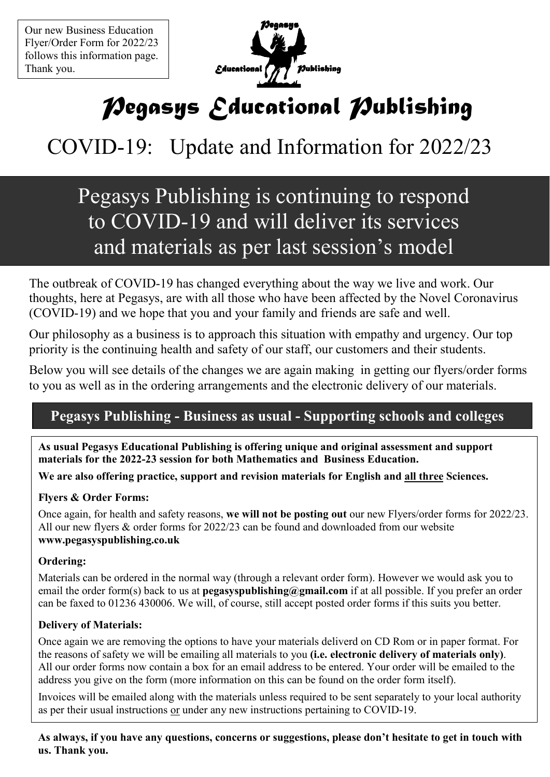Our new Business Education Flyer/Order Form for 2022/23 follows this information page. Thank you.



# *Pegasys Educational Publishing*

## COVID-19: Update and Information for 2022/23

## Pegasys Publishing is continuing to respond to COVID-19 and will deliver its services and materials as per last session's model

The outbreak of COVID-19 has changed everything about the way we live and work. Our thoughts, here at Pegasys, are with all those who have been affected by the Novel Coronavirus (COVID-19) and we hope that you and your family and friends are safe and well.

Our philosophy as a business is to approach this situation with empathy and urgency. Our top priority is the continuing health and safety of our staff, our customers and their students.

Below you will see details of the changes we are again making in getting our flyers/order forms to you as well as in the ordering arrangements and the electronic delivery of our materials.

## **Pegasys Publishing - Business as usual - Supporting schools and colleges**

**As usual Pegasys Educational Publishing is offering unique and original assessment and support materials for the 2022-23 session for both Mathematics and Business Education.** 

**We are also offering practice, support and revision materials for English and all three Sciences.** 

### **Flyers & Order Forms:**

Once again, for health and safety reasons, **we will not be posting out** our new Flyers/order forms for 2022/23. All our new flyers & order forms for 2022/23 can be found and downloaded from our website **www.pegasyspublishing.co.uk** 

### **Ordering:**

Materials can be ordered in the normal way (through a relevant order form). However we would ask you to email the order form(s) back to us at **pegasyspublishing@gmail.com** if at all possible. If you prefer an order can be faxed to 01236 430006. We will, of course, still accept posted order forms if this suits you better.

### **Delivery of Materials:**

Once again we are removing the options to have your materials deliverd on CD Rom or in paper format. For the reasons of safety we will be emailing all materials to you **(i.e. electronic delivery of materials only)**. All our order forms now contain a box for an email address to be entered. Your order will be emailed to the address you give on the form (more information on this can be found on the order form itself).

Invoices will be emailed along with the materials unless required to be sent separately to your local authority as per their usual instructions or under any new instructions pertaining to COVID-19.

**As always, if you have any questions, concerns or suggestions, please don't hesitate to get in touch with us. Thank you.**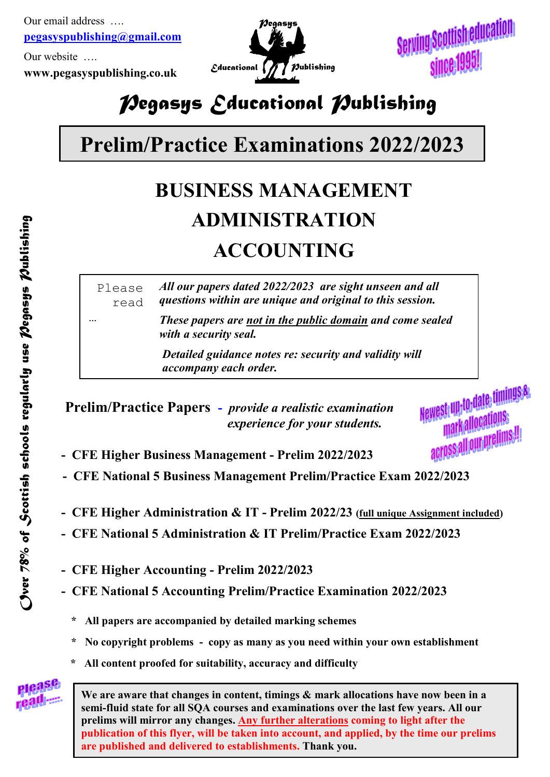Our email address …. **pegasyspublishing@gmail.com**

Our website ….

**www.pegasyspublishing.co.uk**

…



Serving Scottish education since 1995!

## *Pegasys Educational Publishing*

# **Prelim/Practice Examinations 2022/2023**

# **BUSINESS MANAGEMENT ADMINISTRATION ACCOUNTING**

Please read *All our papers dated 2022/2023 are sight unseen and all questions within are unique and original to this session.* 

> *These papers are not in the public domain and come sealed with a security seal.*

 *Detailed guidance notes re: security and validity will accompany each order.*

 **Prelim/Practice Papers -** *provide a realistic examination experience for your students.*

Newest up to date timings& struppedance<br>markallocations<br>markallocations acrossall our prelims!!!

- **CFE Higher Business Management Prelim 2022/2023**
- **CFE 3ational 5 Business Management Prelim/Practice Exam 2022/2023**
- **CFE Higher Administration & IT Prelim 2022/23 (full unique Assignment included)**
- **CFE 3ational 5 Administration & IT Prelim/Practice Exam 2022/2023**
- **CFE Higher Accounting Prelim 2022/2023**
- **CFE 3ational 5 Accounting Prelim/Practice Examination 2022/2023**
	- **\* All papers are accompanied by detailed marking schemes**
	- **\* 3o copyright problems copy as many as you need within your own establishment**
	- **\* All content proofed for suitability, accuracy and difficulty**



**We are aware that changes in content, timings & mark allocations have now been in a semi-fluid state for all SQA courses and examinations over the last few years. All our prelims will mirror any changes. Any further alterations coming to light after the publication of this flyer, will be taken into account, and applied, by the time our prelims are published and delivered to establishments. Thank you.**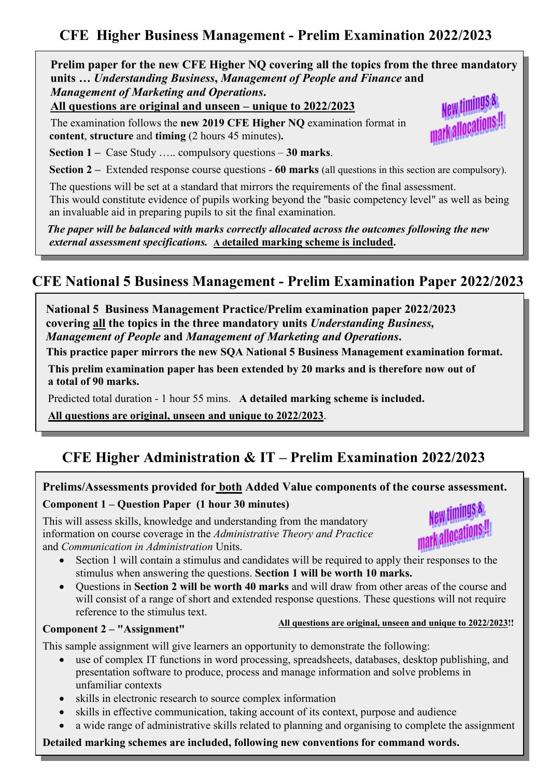## **CFE Higher Business Management - Prelim Examination 2022/2023**

 **Prelim paper for the new CFE Higher 3Q covering all the topics from the three mandatory units …** *Understanding Business***,** *Management of People and Finance* **and** *Management of Marketing and Operations***.**

**All questions are original and unseen – unique to 2022/2023**

 The examination follows the **new 2019 CFE Higher 3Q** examination format in **content**, **structure** and **timing** (2 hours 45 minutes)**.**



 **Section 1 –** Case Study ….. compulsory questions – **30 marks**.

**Section 2 –** Extended response course questions - **60 marks** (all questions in this section are compulsory).

The questions will be set at a standard that mirrors the requirements of the final assessment.

 This would constitute evidence of pupils working beyond the "basic competency level" as well as being an invaluable aid in preparing pupils to sit the final examination.

 *The paper will be balanced with marks correctly allocated across the outcomes following the new external assessment specifications.* **A detailed marking scheme is included.**

### **CFE 3ational 5 Business Management - Prelim Examination Paper 2022/2023**

 **3ational 5 Business Management Practice/Prelim examination paper 2022/2023 covering all the topics in the three mandatory units** *Understanding Business, Management of People* **and** *Management of Marketing and Operations***.**

This practice paper mirrors the new SQA National 5 Business Management examination format.

 **This prelim examination paper has been extended by 20 marks and is therefore now out of a total of 90 marks.** 

Predicted total duration - 1 hour 55 mins. **A detailed marking scheme is included.** 

 **All questions are original, unseen and unique to 2022/2023**.

## **CFE Higher Administration & IT – Prelim Examination 2022/2023**

#### **Prelims/Assessments provided for both Added Value components of the course assessment. Component 1 – Question Paper (1 hour 30 minutes)**

This will assess skills, knowledge and understanding from the mandatory information on course coverage in the *Administrative Theory and Practice*  and *Communication in Administration* Units.



**All questions are original, unseen and unique to 2022/2023!!**

- Section 1 will contain a stimulus and candidates will be required to apply their responses to the stimulus when answering the questions. **Section 1 will be worth 10 marks.**
- Questions in **Section 2 will be worth 40 marks** and will draw from other areas of the course and will consist of a range of short and extended response questions. These questions will not require reference to the stimulus text.

#### **Component 2 – "Assignment"**

 $\overline{\phantom{a}}$ 

ļ

This sample assignment will give learners an opportunity to demonstrate the following:

- use of complex IT functions in word processing, spreadsheets, databases, desktop publishing, and presentation software to produce, process and manage information and solve problems in unfamiliar contexts
- skills in electronic research to source complex information
- skills in effective communication, taking account of its context, purpose and audience
- a wide range of administrative skills related to planning and organising to complete the assignment

**Detailed marking schemes are included, following new conventions for command words.**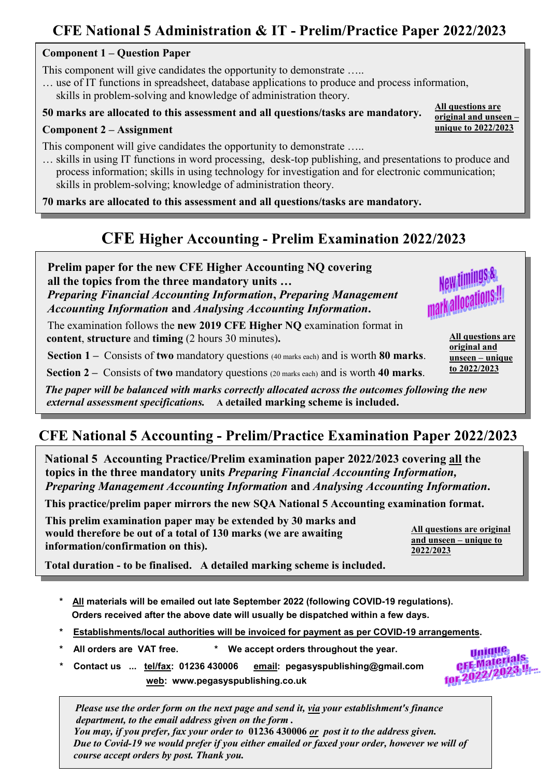## **CFE 3ational 5 Administration & IT - Prelim/Practice Paper 2022/2023**

#### **Component 1 – Question Paper**

This component will give candidates the opportunity to demonstrate .....

… use of IT functions in spreadsheet, database applications to produce and process information, skills in problem-solving and knowledge of administration theory.

### **50 marks are allocated to this assessment and all questions/tasks are mandatory.**

#### **Component 2 – Assignment**

 $\overline{\phantom{a}}$ 

 $\overline{\phantom{a}}$ 

L

This component will give candidates the opportunity to demonstrate .....

… skills in using IT functions in word processing, desk-top publishing, and presentations to produce and process information; skills in using technology for investigation and for electronic communication; skills in problem-solving; knowledge of administration theory.

**70 marks are allocated to this assessment and all questions/tasks are mandatory.** 

## **CFE Higher Accounting - Prelim Examination 2022/2023**

**Prelim paper for the new CFE Higher Accounting NO covering all the topics from the three mandatory units …** *Preparing Financial Accounting Information***,** *Preparing Management Accounting Information* **and** *Analysing Accounting Information***.**

The examination follows the **new 2019 CFE Higher NO** examination format in **content**, **structure** and **timing** (2 hours 30 minutes)**.**

 **Section 1 –** Consists of **two** mandatory questions (40 marks each) and is worth **80 marks**.

**Section 2 –** Consists of **two** mandatory questions (20 marks each) and is worth **40 marks**.

 *The paper will be balanced with marks correctly allocated across the outcomes following the new external assessment specifications.* **A detailed marking scheme is included.**

## **CFE 3ational 5 Accounting - Prelim/Practice Examination Paper 2022/2023**

**3ational 5 Accounting Practice/Prelim examination paper 2022/2023 covering all the topics in the three mandatory units** *Preparing Financial Accounting Information, Preparing Management Accounting Information* **and** *Analysing Accounting Information***.** 

This practice/prelim paper mirrors the new SQA National 5 Accounting examination format.

 **This prelim examination paper may be extended by 30 marks and would therefore be out of a total of 130 marks (we are awaiting information/confirmation on this).** 

**All questions are original and unseen – unique to 2022/2023**

> **Unique UJULUES**<br>CFE-Materials<br>Les néves de CFE Materials

**Total duration - to be finalised. A detailed marking scheme is included.** 

- **\* All materials will be emailed out late September 2022 (following COVID-19 regulations). Orders received after the above date will usually be dispatched within a few days.**
- **\* Establishments/local authorities will be invoiced for payment as per COVID-19 arrangements.**
- **\* All orders are VAT free. \* We accept orders throughout the year.**
- **\* Contact us ... tel/fax: 01236 430006 email: pegasyspublishing@gmail.com web: www.pegasyspublishing.co.uk**

 *Please use the order form on the next page and send it, via your establishment's finance department, to the email address given on the form . You may, if you prefer, fax your order to* **01236 430006** *or post it to the address given. Due to Covid-19 we would prefer if you either emailed or faxed your order, however we will of course accept orders by post. Thank you.*



**All questions are original and unseen – unique to 2022/2023**

**All questions are original and unseen – unique to 2022/2023**